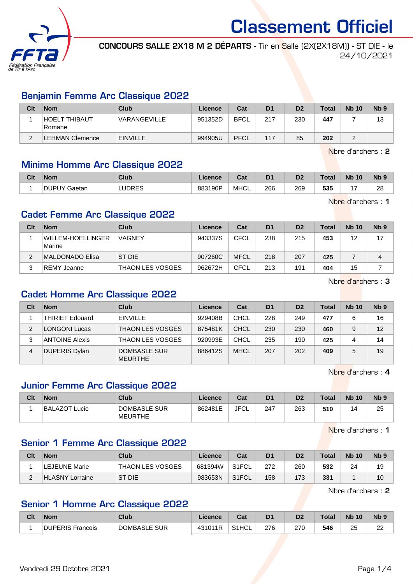

Classement Officiel CONCOURS SALLE 2X18 M 2 DÉPARTS - Tir en Salle (2X(2X18M)) - ST DIE - le

24/10/2021

## Benjamin Femme Arc Classique 2022

| Clt    | <b>Nom</b>              | Club            | Licence | Cat         | D <sub>1</sub> | D <sub>2</sub> | <b>Total</b> | <b>Nb 10</b> | N <sub>b</sub> 9 |
|--------|-------------------------|-----------------|---------|-------------|----------------|----------------|--------------|--------------|------------------|
|        | HOELT THIBAUT<br>Romane | VARANGEVILLE    | 951352D | <b>BFCL</b> | 217            | 230            | 447          |              | 13               |
| $\sim$ | <b>LEHMAN Clemence</b>  | <b>EINVILLE</b> | 994905U | PFCL        | 117            | 85             | 202          |              |                  |

Nbre d'archers : 2

## Minime Homme Arc Classique 2022

| Clt | <b>Nom</b>   | Club          | Licence | <b>Date</b><br>⊍a | D <sub>1</sub> | D <sub>2</sub> | <b>Total</b> | <b>Nb</b><br>10 | N <sub>b</sub> <sub>9</sub> |
|-----|--------------|---------------|---------|-------------------|----------------|----------------|--------------|-----------------|-----------------------------|
|     | DUPUY Gaetan | <b>LUDRES</b> | 883190P | <b>MHCL</b>       | 266            | 269            | 535          |                 | റ<br>zc<br>__               |

Nbre d'archers : 1

## Cadet Femme Arc Classique 2022

| Clt | <b>Nom</b>                         | Club                    | Licence | Cat         | D <sub>1</sub> | D <sub>2</sub> | Total | <b>Nb 10</b> | Nb <sub>9</sub> |
|-----|------------------------------------|-------------------------|---------|-------------|----------------|----------------|-------|--------------|-----------------|
|     | <b>WILLEM-HOELLINGER</b><br>Marine | <b>VAGNEY</b>           | 943337S | <b>CFCL</b> | 238            | 215            | 453   | 12           | 17              |
| 2   | MALDONADO Elisa                    | <b>ST DIE</b>           | 907260C | <b>MFCL</b> | 218            | 207            | 425   |              | 4               |
| ຈ   | ⊺REMY Jeanne                       | <b>THAON LES VOSGES</b> | 962672H | <b>CFCL</b> | 213            | 191            | 404   | 15           |                 |

Nbre d'archers : 3

## Cadet Homme Arc Classique 2022

| Clt | <b>Nom</b>             | Club                           | Licence | Cat         | D <sub>1</sub> | D <sub>2</sub> | Total | <b>Nb 10</b> | Nb <sub>9</sub> |
|-----|------------------------|--------------------------------|---------|-------------|----------------|----------------|-------|--------------|-----------------|
|     | <b>THIRIET Edouard</b> | <b>EINVILLE</b>                | 929408B | CHCL        | 228            | 249            | 477   |              | 16              |
| 2   | LONGONI Lucas          | <b>THAON LES VOSGES</b>        | 875481K | CHCL        | 230            | 230            | 460   | 9            | 12              |
| 3   | <b>ANTOINE Alexis</b>  | <b>THAON LES VOSGES</b>        | 920993E | CHCL        | 235            | 190            | 425   | 4            | 14              |
| 4   | <b>DUPERIS Dylan</b>   | DOMBASLE SUR<br><b>MEURTHE</b> | 886412S | <b>MHCL</b> | 207            | 202            | 409   |              | 19              |

Nbre d'archers : 4

# Junior Femme Arc Classique 2022

| Clt | <b>Nom</b>           | Club                           | ∟icence | Cat  | D <sub>1</sub> | D <sub>2</sub> | <b>Total</b> | <b>Nb 10</b> | N <sub>b</sub> <sub>9</sub> |
|-----|----------------------|--------------------------------|---------|------|----------------|----------------|--------------|--------------|-----------------------------|
|     | <b>BALAZOT Lucie</b> | DOMBASLE SUR<br><b>MEURTHE</b> | 862481E | JFCL | 247            | 263            | 510          | 14           | 25                          |

Nbre d'archers : 1

## Senior 1 Femme Arc Classique 2022

| Clt | <b>Nom</b>           | Club                    | Licence | Cat                | D <sub>1</sub> | D <sub>2</sub> | <b>Total</b> | <b>Nb 10</b> | N <sub>b</sub> <sub>9</sub> |
|-----|----------------------|-------------------------|---------|--------------------|----------------|----------------|--------------|--------------|-----------------------------|
|     | <b>LEJEUNE Marie</b> | <b>THAON LES VOSGES</b> | 681394W | S <sub>1</sub> FCL | 272            | 260            | 532          | 24           | 19                          |
|     | HLASNY Lorraine      | ST DIE                  | 983653N | S <sub>1</sub> FCL | 158            | 173            | 331          |              | 10                          |

Nbre d'archers : 2

# Senior 1 Homme Arc Classique 2022

| Clt | <b>Nom</b>                 | <b>Club</b>  | Licence | $P - 1$<br>⊍aι     |     | D2  | Total | <b>Nb</b><br>10 | Nb <sub>c</sub> |
|-----|----------------------------|--------------|---------|--------------------|-----|-----|-------|-----------------|-----------------|
|     | <b>DUPERIS</b><br>Francois | DOMBASLE SUR | 431011R | S <sub>1</sub> HCL | 276 | 270 | 546   | つに<br>Δu        | nn<br>∠∠        |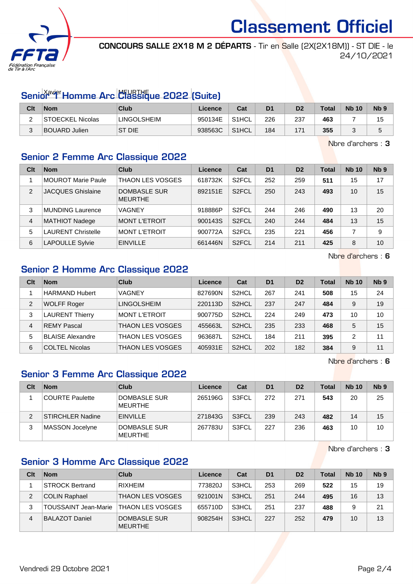

Classement Officiel

CONCOURS SALLE 2X18 M 2 DÉPARTS - Tir en Salle (2X(2X18M)) - ST DIE - le 24/10/2021

# Senior<sup>avier</sup> Homme Arc Classique 2022 (Suite)

| Clt      | <b>Nom</b>              | <b>Club</b>        | Licence | Cat          | D <sub>1</sub> | D2  | <b>Total</b> | <b>Nb 10</b> | N <sub>b</sub> <sub>9</sub> |
|----------|-------------------------|--------------------|---------|--------------|----------------|-----|--------------|--------------|-----------------------------|
| <u>.</u> | <b>STOECKEL Nicolas</b> | <b>LINGOLSHEIM</b> | 950134E | S1HCL        | 226            | 237 | 463          |              | 15                          |
|          | <b>BOUARD Julien</b>    | ST DIE             | 938563C | <b>S1HCL</b> | 184            | 171 | 355          |              | ັ                           |

Nbre d'archers : 3

## Senior 2 Femme Arc Classique 2022

| Clt            | <b>Nom</b>                | Club                           | Licence | Cat                | D <sub>1</sub> | D <sub>2</sub> | <b>Total</b> | <b>Nb 10</b> | Nb <sub>9</sub> |
|----------------|---------------------------|--------------------------------|---------|--------------------|----------------|----------------|--------------|--------------|-----------------|
|                | <b>MOUROT Marie Paule</b> | <b>THAON LES VOSGES</b>        | 618732K | S <sub>2</sub> FCL | 252            | 259            | 511          | 15           | 17              |
| $\mathfrak{p}$ | <b>JACQUES Ghislaine</b>  | DOMBASLE SUR<br><b>MEURTHE</b> | 892151E | S <sub>2</sub> FCL | 250            | 243            | 493          | 10           | 15              |
| 3              | <b>MUNDING Laurence</b>   | VAGNEY                         | 918886P | S <sub>2</sub> FCL | 244            | 246            | 490          | 13           | 20              |
| 4              | <b>MATHIOT Nadege</b>     | <b>MONT L'ETROIT</b>           | 900143S | S <sub>2</sub> FCL | 240            | 244            | 484          | 13           | 15              |
| 5              | <b>LAURENT Christelle</b> | <b>MONT L'ETROIT</b>           | 900772A | S <sub>2</sub> FCL | 235            | 221            | 456          |              | 9               |
| 6              | <b>LAPOULLE Sylvie</b>    | <b>EINVILLE</b>                | 661446N | S <sub>2</sub> FCL | 214            | 211            | 425          | 8            | 10              |

Nbre d'archers : 6

## Senior 2 Homme Arc Classique 2022

| Clt            | <b>Nom</b>              | Club                 | Licence | Cat                | D <sub>1</sub> | D <sub>2</sub> | Total | <b>Nb 10</b> | Nb <sub>9</sub> |
|----------------|-------------------------|----------------------|---------|--------------------|----------------|----------------|-------|--------------|-----------------|
|                | <b>HARMAND Hubert</b>   | <b>VAGNEY</b>        | 827690N | S <sub>2</sub> HCL | 267            | 241            | 508   | 15           | 24              |
| $\overline{2}$ | <b>WOLFF Roger</b>      | <b>LINGOLSHEIM</b>   | 220113D | S <sub>2</sub> HCL | 237            | 247            | 484   | 9            | 19              |
| 3              | <b>LAURENT Thierry</b>  | <b>MONT L'ETROIT</b> | 900775D | S <sub>2</sub> HCL | 224            | 249            | 473   | 10           | 10              |
| 4              | <b>REMY Pascal</b>      | THAON LES VOSGES     | 455663L | S <sub>2</sub> HCL | 235            | 233            | 468   | 5            | 15              |
| 5              | <b>BLAISE Alexandre</b> | THAON LES VOSGES     | 963687L | S <sub>2</sub> HCL | 184            | 211            | 395   | 2            | 11              |
| 6              | <b>COLTEL Nicolas</b>   | THAON LES VOSGES     | 405931E | S <sub>2</sub> HCL | 202            | 182            | 384   | 9            | 11              |

Nbre d'archers : 6

# Senior 3 Femme Arc Classique 2022

| Clt | <b>Nom</b>              | Club                           | Licence | Cat   | D <sub>1</sub> | D <sub>2</sub> | <b>Total</b> | <b>Nb 10</b> | Nb <sub>9</sub> |
|-----|-------------------------|--------------------------------|---------|-------|----------------|----------------|--------------|--------------|-----------------|
|     | <b>COURTE Paulette</b>  | DOMBASLE SUR<br><b>MEURTHE</b> | 265196G | S3FCL | 272            | 271            | 543          | 20           | 25              |
| 2   | <b>STIRCHLER Nadine</b> | <b>EINVILLE</b>                | 271843G | S3FCL | 239            | 243            | 482          | 14           | 15              |
| 3   | MASSON Jocelyne         | DOMBASLE SUR<br><b>MEURTHE</b> | 267783U | S3FCL | 227            | 236            | 463          | 10           | 10              |

Nbre d'archers : 3

## Senior 3 Homme Arc Classique 2022

| Clt | <b>Nom</b>                  | Club                           | Licence | Cat   | D <sub>1</sub> | D <sub>2</sub> | <b>Total</b> | <b>Nb 10</b> | N <sub>b</sub> <sub>9</sub> |
|-----|-----------------------------|--------------------------------|---------|-------|----------------|----------------|--------------|--------------|-----------------------------|
|     | <b>STROCK Bertrand</b>      | <b>RIXHEIM</b>                 | 773820J | S3HCL | 253            | 269            | 522          | 15           | 19                          |
| 2   | <b>COLIN Raphael</b>        | <b>THAON LES VOSGES</b>        | 921001N | S3HCL | 251            | 244            | 495          | 16           | 13                          |
| 3   | <b>TOUSSAINT Jean-Marie</b> | <b>THAON LES VOSGES</b>        | 655710D | S3HCL | 251            | 237            | 488          |              | 21                          |
| 4   | <b>BALAZOT Daniel</b>       | DOMBASLE SUR<br><b>MEURTHE</b> | 908254H | S3HCL | 227            | 252            | 479          | 10           | 13                          |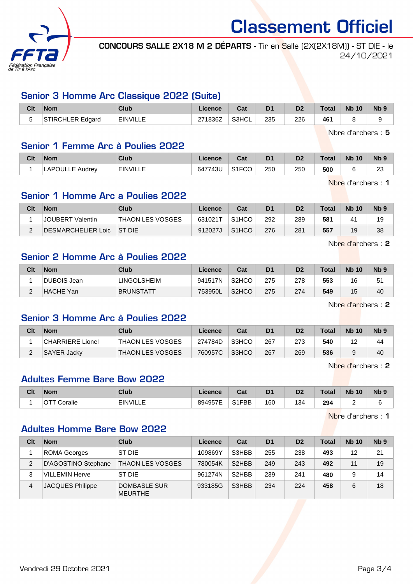

Classement Officiel

CONCOURS SALLE 2X18 M 2 DÉPARTS - Tir en Salle (2X(2X18M)) - ST DIE - le 24/10/2021

#### Senior 3 Homme Arc Classique 2022 (Suite)

| Clt                      | <b>Nom</b>              | Club            | Licence               | 2.1<br>uau | D <sub>1</sub> | D <sub>2</sub> | Total | <b>N<sub>b</sub></b><br>10 | N <sub>b</sub> <sub>9</sub> |
|--------------------------|-------------------------|-----------------|-----------------------|------------|----------------|----------------|-------|----------------------------|-----------------------------|
| $\overline{\phantom{0}}$ | <b>STIRCHLER Edgard</b> | <b>EINVILLE</b> | 271836Z<br>$\epsilon$ | S3HCL      | 235            | 226            | 461   |                            |                             |

Nbre d'archers : 5

#### Senior 1 Femme Arc à Poulies 2022

| Clt | <b>Nom</b>      | Club            | Licence | $\sim$<br>val | D1  | D <sub>2</sub> | <b>Total</b> | <b>Nb 10</b> | N <sub>b</sub> <sub>9</sub> |
|-----|-----------------|-----------------|---------|---------------|-----|----------------|--------------|--------------|-----------------------------|
|     | ∟APOULLE Audrey | <b>EINVILLE</b> | 647743U | S1FCO         | 250 | 250            | 500          |              | nn<br>20                    |

Nbre d'archers : 1

#### Senior 1 Homme Arc a Poulies 2022

| Clt | <b>Nom</b>         | Club                    | Licence | Cat                | D <sub>1</sub> | D <sub>2</sub> | <b>Total</b> | <b>Nb 10</b> | N <sub>b</sub> <sub>9</sub> |
|-----|--------------------|-------------------------|---------|--------------------|----------------|----------------|--------------|--------------|-----------------------------|
|     | JOUBERT Valentin   | <b>THAON LES VOSGES</b> | 631021T | S <sub>1</sub> HCO | 292            | 289            | 581          | $4^{\prime}$ | 19                          |
|     | DESMARCHELIER Loic | <b>IST DIE</b>          | 912027J | S <sub>1</sub> HCO | 276            | 281            | 557          | 19           | 38                          |

Nbre d'archers : 2

## Senior 2 Homme Arc à Poulies 2022

| Clt | <b>Nom</b>  | Club               | Licence | Cat                | D <sub>1</sub> | D <sub>2</sub> | <b>Total</b> | <b>Nb 10</b> | Nb 9 |
|-----|-------------|--------------------|---------|--------------------|----------------|----------------|--------------|--------------|------|
|     | DUBOIS Jean | <b>LINGOLSHEIM</b> | 941517N | S <sub>2</sub> HCO | 275            | 278            | 553          | 16           | 51   |
| _   | HACHE Yan   | <b>BRUNSTATT</b>   | 753950L | S <sub>2</sub> HCO | 275            | 274            | 549          | 15           | 40   |

Nbre d'archers : 2

## Senior 3 Homme Arc à Poulies 2022

| Clt | <b>Nom</b>       | Club                    | Licence | Cat   | D1  | D2  | <b>Total</b> | <b>Nb 10</b> | N <sub>b</sub> 9 |
|-----|------------------|-------------------------|---------|-------|-----|-----|--------------|--------------|------------------|
|     | CHARRIERE Lionel | THAON LES VOSGES        | 274784D | S3HCO | 267 | 273 | 540          | 12           | 44               |
|     | SAYER Jacky      | <b>THAON LES VOSGES</b> | 760957C | S3HCO | 267 | 269 | 536          |              | 40               |

Nbre d'archers : 2

## Adultes Femme Bare Bow 2022

| Clt | <b>Nom</b>   | Club            | Licence | יפ<br>⊍a | D <sub>1</sub> | D <sub>2</sub> | <b>Total</b> | <b>N<sub>b</sub></b><br>10 | <b>Nb</b> |
|-----|--------------|-----------------|---------|----------|----------------|----------------|--------------|----------------------------|-----------|
|     | Coralie<br>∼ | <b>EINVILLE</b> | 894957E | S1FBB    | 160            | 1 n 1<br>:34   | 294          | -                          |           |

Nbre d'archers : 1

## Adultes Homme Bare Bow 2022

| Clt | <b>Nom</b>            | Club                           | Licence | Cat                | D <sub>1</sub> | D <sub>2</sub> | <b>Total</b> | <b>Nb 10</b> | N <sub>b</sub> <sub>9</sub> |
|-----|-----------------------|--------------------------------|---------|--------------------|----------------|----------------|--------------|--------------|-----------------------------|
|     | ROMA Georges          | ST DIE                         | 109869Y | S3HBB              | 255            | 238            | 493          | 12           | 21                          |
| 2   | D'AGOSTINO Stephane   | <b>THAON LES VOSGES</b>        | 780054K | S <sub>2</sub> HBB | 249            | 243            | 492          | 11           | 19                          |
| 3   | <b>VILLEMIN Herve</b> | ST DIE                         | 961274N | S <sub>2</sub> HBB | 239            | 241            | 480          | 9            | 14                          |
| 4   | JACQUES Philippe      | DOMBASLE SUR<br><b>MEURTHE</b> | 933185G | S3HBB              | 234            | 224            | 458          | 6            | 18                          |

Vendredi 29 Octobre 2021 Page 3/4